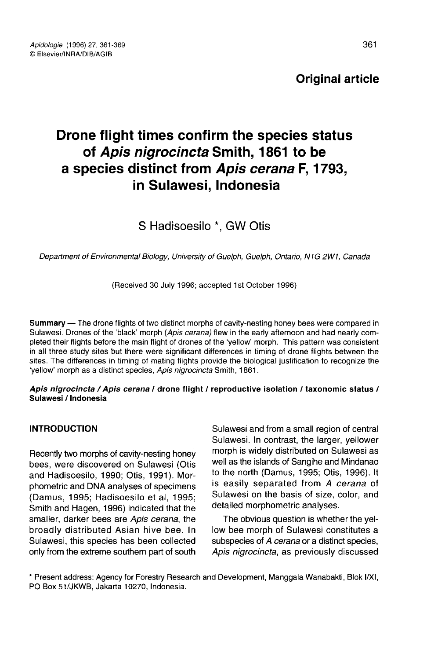# Original article

# Drone flight times confirm the species status of Apis nigrocincta Smith, 1861 to be a species distinct from Apis cerana F, 1793, in Sulawesi, Indonesia

S Hadisoesilo \*. GW Otis

Department of Environmental Biology, University of Guelph, Guelph, Ontario, N1G 2W1, Canada

(Received 30 July 1996; accepted 1st October 1996)

Summary - The drone flights of two distinct morphs of cavity-nesting honey bees were compared in Sulawesi. Drones of the 'black' morph (Apis cerana) flew in the early afternoon and had nearly completed their flights before the main flight of drones of the 'yellow' morph. This pattern was consistent in all three study sites but there were significant differences in timing of drone flights between the sites. The differences in timing of mating flights provide the biological justification to recognize the 'yellow' morph as a distinct species, Apis nigrocincta Smith, 1861.

#### Apis nigrocincta / Apis cerana / drone flight / reproductive isolation / taxonomic status / Sulawesi / Indonesia

# INTRODUCTION

Recently two morphs of cavity-nesting honey bees, were discovered on Sulawesi (Otis and Hadisoesilo, 1990; Otis, 1991). Morphometric and DNA analyses of specimens (Damus, 1995; Hadisoesilo et al, 1995; Smith and Hagen, 1996) indicated that the smaller, darker bees are Apis cerana, the broadly distributed Asian hive bee. In Sulawesi, this species has been collected only from the extreme southern part of south

Sulawesi and from a small region of central Sulawesi. In contrast, the larger, yellower morph is widely distributed on Sulawesi as well as the islands of Sangihe and Mindanao to the north (Damus, 1995; Otis, 1996). It is easily separated from A cerana of Sulawesi on the basis of size, color, and detailed morphometric analyses.

The obvious question is whether the yellow bee morph of Sulawesi constitutes a subspecies of A cerana or a distinct species, Apis nigrocincta, as previously discussed

<sup>\*</sup> Present address: Agency for Forestry Research and Development, Manggala Wanabakti, Blok I/XI, PO Box 51/JKWB, Jakarta 10270, Indonesia.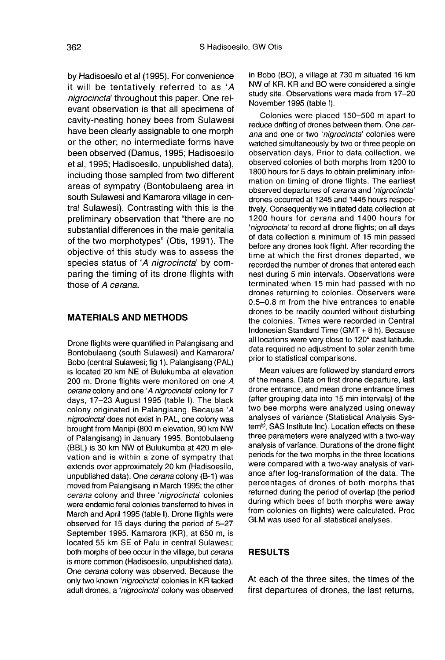by Hadisoesilo et al (1995). For convenience it will be tentatively referred to as 'A nigrocincta' throughout this paper. One relevant observation is that all specimens of cavity-nesting honey bees from Sulawesi have been clearly assignable to one morph or the other; no intermediate forms have been observed (Damus, 1995; Hadisoesilo et al, 1995; Hadisoesilo, unpublished data), including those sampled from two different areas of sympatry (Bontobulaeng area in south Sulawesi and Kamarora village in central Sulawesi). Contrasting with this is the preliminary observation that "there are no substantial differences in the male genitalia of the two morphotypes" (Otis, 1991). The objective of this study was to assess the species status of 'A nigrocincta' by comparing the timing of its drone flights with those of A cerana.

# MATERIALS AND METHODS

Drone flights were quantified in Palangisang and Bontobulaeng (south Sulawesi) and Kamarora/ Bobo (central Sulawesi; fig 1). Palangisang (PAL) is located 20 km NE of Bulukumba at elevation 200 m. Drone flights were monitored on one A cerana colony and one 'A nigrocincta' colony for 7 days, 17-23 August 1995 (table I). The black colony originated in Palangisang. Because 'A nigrocincta' does not exist in PAL, one colony was brought from Manipi (800 m elevation, 90 km NW of Palangisang) in January 1995. Bontobulaeng (BBL) is 30 km NW of Bulukumba at 420 m elevation and is within a zone of sympatry that extends over approximately 20 km (Hadisoesilo, unpublished data). One cerana colony (B-1) was moved from Palangisang in March 1995; the other cerana colony and three 'nigrocincta' colonies were endemic feral colonies transferred to hives in March and April 1995 (table I). Drone flights were observed for 15 days during the period of 5-27 September 1995. Kamarora (KR), at 650 m, is located 55 km SE of Palu in central Sulawesi; both morphs of bee occur in the village, but cerana is more common (Hadisoesilo, unpublished data). One cerana colony was observed. Because the only two known 'nigrocincta' colonies in KR lacked adult drones, a 'nigrocincta' colony was observed

in Bobo (BO), a village at 730 m situated 16 km NW of KR. KR and BO were considered a single study site. Observations were made from 17-20 November 1995 (table I).

Colonies were placed 150-500 m apart to reduce drifting of drones between them. One cerana and one or two 'nigrocincta' colonies were watched simultaneously by two or three people on observation days. Prior to data collection, we observed colonies of both morphs from 1200 to 1800 hours for 5 days to obtain preliminary information on timing of drone flights. The earliest observed departures of cerana and 'nigrocincta' drones occurred at 1245 and 1445 hours respectively. Consequently we initiated data collection at 1200 hours for cerana and 1400 hours for 'nigrocincta' to record all drone flights; on all days of data collection a minimum of 15 min passed before any drones took flight. After recording the time at which the first drones departed, we recorded the number of drones that entered each nest during 5 min intervals. Observations were terminated when 15 min had passed with no drones returning to colonies. Observers were 0.5-0.8 m from the hive entrances to enable drones to be readily counted without disturbing the colonies. Times were recorded in Central Indonesian Standard Time (GMT + 8 h). Because all locations were very close to 120° east latitude, data required no adjustment to solar zenith time prior to statistical comparisons.

Mean values are followed by standard errors of the means. Data on first drone departure, last drone entrance, and mean drone entrance times (after grouping data into 15 min intervals) of the two bee morphs were analyzed using oneway analyses of variance (Statistical Analysis System©, SAS Institute Inc). Location effects on these three parameters were analyzed with a two-way analysis of variance. Durations of the drone flight periods for the two morphs in the three locations were compared with a two-way analysis of variance after log-transformation of the data. The percentages of drones of both morphs that returned during the period of overlap (the period during which bees of both morphs were away from colonies on flights) were calculated. Proc GLM was used for all statistical analyses.

## RESULTS

At each of the three sites, the times of the first departures of drones, the last returns,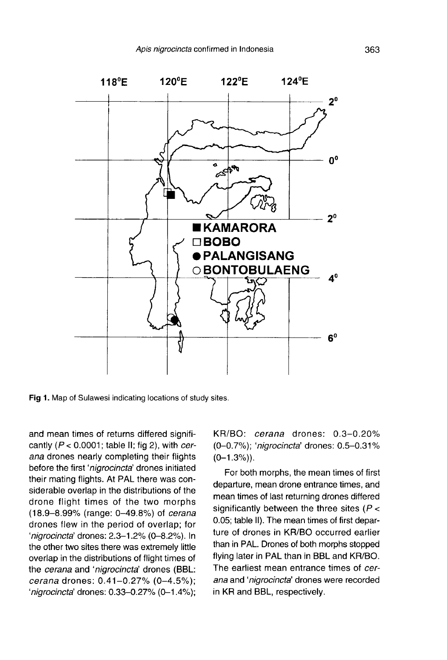

Fig 1. Map of Sulawesi indicating locations of study sites.

and mean times of returns differed significantly ( $P < 0.0001$ ; table II; fig 2), with cerana drones nearly completing their flights before the first 'nigrocincta' drones initiated their mating flights. At PAL there was considerable overlap in the distributions of the drone flight times of the two morphs (18.9-8.99% (range: 0-49.8%) of cerana drones flew in the period of overlap; for 'nigrocincta' drones: 2.3-1.2% (0-8.2%). In the other two sites there was extremely little overlap in the distributions of flight times of the cerana and 'nigrocincta' drones (BBL: cerana drones: 0.41-0.27% (0-4.5%); 'nigrocincta' drones: 0.33-0.27% (0-1.4%); KR/BO: cerana drones: 0.3-0.20% (0-0.7%); 'nigrocincta' drones: 0.5-0.31%  $(0-1.3\%)$ .

For both morphs, the mean times of first departure, mean drone entrance times, and mean times of last returning drones differed significantly between the three sites ( $P <$ 0.05; table II). The mean times of first departure of drones in KR/BO occurred earlier than in PAL. Drones of both morphs stopped flying later in PAL than in BBL and KR/BO. The earliest mean entrance times of cerana and 'nigrocincta' drones were recorded in KR and BBL, respectively.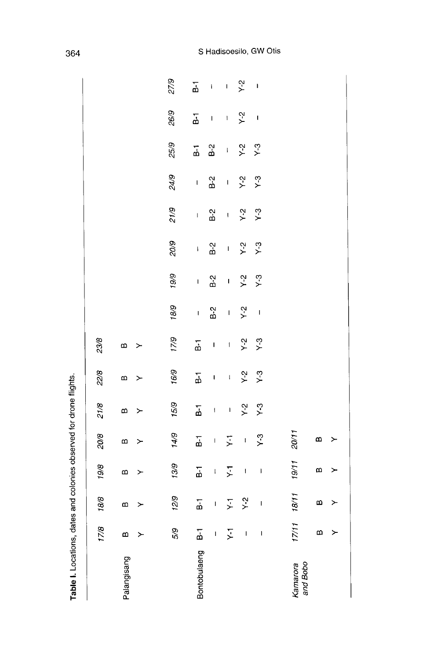| Table I. Locations, dates and colonies observed for drone flights. |                          |                          |                                                                                                                                                                                                                                                                                                                                                                                                                |                         |                     |                                                                                                                                                                                                                                                                                                                                                                                                                |                |                          |               |              |                  |             |                                                                                                                                                                                                                                                                                                                                                                                                                |                                       |                          |
|--------------------------------------------------------------------|--------------------------|--------------------------|----------------------------------------------------------------------------------------------------------------------------------------------------------------------------------------------------------------------------------------------------------------------------------------------------------------------------------------------------------------------------------------------------------------|-------------------------|---------------------|----------------------------------------------------------------------------------------------------------------------------------------------------------------------------------------------------------------------------------------------------------------------------------------------------------------------------------------------------------------------------------------------------------------|----------------|--------------------------|---------------|--------------|------------------|-------------|----------------------------------------------------------------------------------------------------------------------------------------------------------------------------------------------------------------------------------------------------------------------------------------------------------------------------------------------------------------------------------------------------------------|---------------------------------------|--------------------------|
|                                                                    | 17/8                     | 18/8                     | 19/8                                                                                                                                                                                                                                                                                                                                                                                                           | 20/8                    | 21/8                | 22/8                                                                                                                                                                                                                                                                                                                                                                                                           | 23/8           |                          |               |              |                  |             |                                                                                                                                                                                                                                                                                                                                                                                                                |                                       |                          |
| Palangisang                                                        | m<br>≻                   | $\bf{m}$<br>≻            | m<br>≻                                                                                                                                                                                                                                                                                                                                                                                                         | $\mathbf{a}$<br>≻       | m<br>≻              | $\mathbf{D}$<br>≻                                                                                                                                                                                                                                                                                                                                                                                              | m<br>≻         |                          |               |              |                  |             |                                                                                                                                                                                                                                                                                                                                                                                                                |                                       |                          |
|                                                                    | 5/9                      | 12/9                     | 13/9                                                                                                                                                                                                                                                                                                                                                                                                           | 14/9                    | 15/9                | 16/9                                                                                                                                                                                                                                                                                                                                                                                                           | 17/9           | 18/9                     | 19/9          | 20/9         | 21/9             | 24/9        | 25/9                                                                                                                                                                                                                                                                                                                                                                                                           | 26/9                                  | 27/9                     |
| Bontobulaeng                                                       | $\overline{\Delta}$      | $\overline{\mathbf{a}}$  | $\overline{a}$                                                                                                                                                                                                                                                                                                                                                                                                 | $\overline{\mathbf{a}}$ | <u>ក់</u>           | $\overline{\vec{b}}$                                                                                                                                                                                                                                                                                                                                                                                           | $\overline{a}$ | $\mathbf I$              | $\mathbf I$   | $\mathsf{I}$ | $\mathsf{I}$     | $\mathsf I$ | $\overline{B}$                                                                                                                                                                                                                                                                                                                                                                                                 | $\overline{a}$                        | $\overline{a}$           |
|                                                                    | $\overline{\phantom{a}}$ | $\mathbf{I}$             | $\mathsf{I}$                                                                                                                                                                                                                                                                                                                                                                                                   | $\mathbf{I}$            | $\mathbf{I}$        | $\mathbf I$                                                                                                                                                                                                                                                                                                                                                                                                    | $\mathbf{I}$   | $B-2$                    | $\frac{5}{3}$ | $B-2$        | $\overline{B}$ 2 | $B-2$       | B <sub>2</sub>                                                                                                                                                                                                                                                                                                                                                                                                 | $\mathsf{I}$                          | $\bar{1}$                |
|                                                                    | $\zeta$                  | ΣŢ                       | $\overline{Y}$                                                                                                                                                                                                                                                                                                                                                                                                 | $\overline{Y}$          | $\mathbf{I}$        | $\begin{array}{c} \rule{0pt}{2ex} \rule{0pt}{2ex} \rule{0pt}{2ex} \rule{0pt}{2ex} \rule{0pt}{2ex} \rule{0pt}{2ex} \rule{0pt}{2ex} \rule{0pt}{2ex} \rule{0pt}{2ex} \rule{0pt}{2ex} \rule{0pt}{2ex} \rule{0pt}{2ex} \rule{0pt}{2ex} \rule{0pt}{2ex} \rule{0pt}{2ex} \rule{0pt}{2ex} \rule{0pt}{2ex} \rule{0pt}{2ex} \rule{0pt}{2ex} \rule{0pt}{2ex} \rule{0pt}{2ex} \rule{0pt}{2ex} \rule{0pt}{2ex} \rule{0pt}{$ | $\mathbf{I}$   | $\mathbf{I}$             | $\mathbf{I}$  | $\mathbf{I}$ | $\mathbf{I}$     | $\mathbf I$ | $\begin{array}{c} \rule{0pt}{2ex} \rule{0pt}{2ex} \rule{0pt}{2ex} \rule{0pt}{2ex} \rule{0pt}{2ex} \rule{0pt}{2ex} \rule{0pt}{2ex} \rule{0pt}{2ex} \rule{0pt}{2ex} \rule{0pt}{2ex} \rule{0pt}{2ex} \rule{0pt}{2ex} \rule{0pt}{2ex} \rule{0pt}{2ex} \rule{0pt}{2ex} \rule{0pt}{2ex} \rule{0pt}{2ex} \rule{0pt}{2ex} \rule{0pt}{2ex} \rule{0pt}{2ex} \rule{0pt}{2ex} \rule{0pt}{2ex} \rule{0pt}{2ex} \rule{0pt}{$ | $\mathbf{I}$                          | $\mathbf{I}$             |
|                                                                    | I                        | $\frac{5}{2}$            | $\overline{\phantom{a}}$                                                                                                                                                                                                                                                                                                                                                                                       | $\mathbf{I}$            | $\frac{2}{\lambda}$ | $Y-2$                                                                                                                                                                                                                                                                                                                                                                                                          | $Y-2$          | $Y-2$                    | $Y-2$         | $X - 5$      | $Y-2$            | $Y-2$       | $Y-2$                                                                                                                                                                                                                                                                                                                                                                                                          | $\frac{2}{\lambda}$                   | $Y-2$                    |
|                                                                    | I                        | $\overline{\phantom{a}}$ | $\begin{array}{c} \rule{0pt}{2ex} \rule{0pt}{2ex} \rule{0pt}{2ex} \rule{0pt}{2ex} \rule{0pt}{2ex} \rule{0pt}{2ex} \rule{0pt}{2ex} \rule{0pt}{2ex} \rule{0pt}{2ex} \rule{0pt}{2ex} \rule{0pt}{2ex} \rule{0pt}{2ex} \rule{0pt}{2ex} \rule{0pt}{2ex} \rule{0pt}{2ex} \rule{0pt}{2ex} \rule{0pt}{2ex} \rule{0pt}{2ex} \rule{0pt}{2ex} \rule{0pt}{2ex} \rule{0pt}{2ex} \rule{0pt}{2ex} \rule{0pt}{2ex} \rule{0pt}{$ | $Y$ -3                  | $Y$ -3              | $Y-3$                                                                                                                                                                                                                                                                                                                                                                                                          | $Y-3$          | $\overline{\phantom{a}}$ | $Y-3$         | $\times$ 3   | $Y-3$            | $Y-3$       | $Y-3$                                                                                                                                                                                                                                                                                                                                                                                                          | $\begin{array}{c} \hline \end{array}$ | $\overline{\phantom{a}}$ |
| and Bobo<br>Kamarora                                               | 17/11                    | 18/11                    | 19/11                                                                                                                                                                                                                                                                                                                                                                                                          | 20/11                   |                     |                                                                                                                                                                                                                                                                                                                                                                                                                |                |                          |               |              |                  |             |                                                                                                                                                                                                                                                                                                                                                                                                                |                                       |                          |
|                                                                    | $\mathbf{a}$             | $\mathbf{a}$             | $\boldsymbol{\omega}$                                                                                                                                                                                                                                                                                                                                                                                          | B                       |                     |                                                                                                                                                                                                                                                                                                                                                                                                                |                |                          |               |              |                  |             |                                                                                                                                                                                                                                                                                                                                                                                                                |                                       |                          |
|                                                                    | ≻                        | ≻                        | ≻                                                                                                                                                                                                                                                                                                                                                                                                              | ≻                       |                     |                                                                                                                                                                                                                                                                                                                                                                                                                |                |                          |               |              |                  |             |                                                                                                                                                                                                                                                                                                                                                                                                                |                                       |                          |
|                                                                    |                          |                          |                                                                                                                                                                                                                                                                                                                                                                                                                |                         |                     |                                                                                                                                                                                                                                                                                                                                                                                                                |                |                          |               |              |                  |             |                                                                                                                                                                                                                                                                                                                                                                                                                |                                       |                          |

364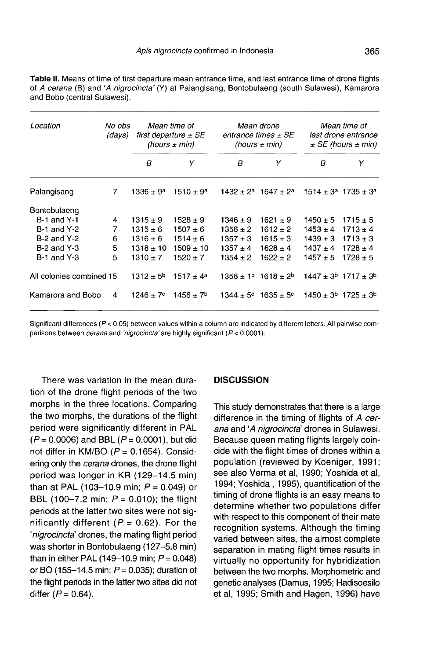| <b>Table II.</b> Means of time of first departure mean entrance time, and last entrance time of drone filights |
|----------------------------------------------------------------------------------------------------------------|
| of A cerana (B) and 'A nigrocincta' (Y) at Palangisang, Bontobulaeng (south Sulawesi), Kamarora                |
| and Bobo (central Sulawesi).                                                                                   |
|                                                                                                                |

| Location                 | No obs<br>(days) | Mean time of<br>first departure $\pm$ SE<br>(hours $\pm$ min) |                           |                      | Mean drone<br>entrance times $\pm$ SE<br>(hours $\pm$ min) | Mean time of<br>last drone entrance<br>$\pm$ SE (hours $\pm$ min) |                                           |
|--------------------------|------------------|---------------------------------------------------------------|---------------------------|----------------------|------------------------------------------------------------|-------------------------------------------------------------------|-------------------------------------------|
|                          |                  | B                                                             | Υ                         | B                    | Υ                                                          | B                                                                 | Y                                         |
| Palangisang              | 7                | $1336 \pm 9^a$                                                | $1510 \pm 9a$             | 1432 + 2ª            | $1647 + 2^a$                                               |                                                                   | $1514 \pm 3^a$ 1735 $\pm$ 3 <sup>a</sup>  |
| Bontobulaeng             |                  |                                                               |                           |                      |                                                            |                                                                   |                                           |
| <b>B-1 and Y-1</b>       | 4                | $1315 + 9$                                                    | $1528 + 9$                | $1346 + 9$           | $1621 + 9$                                                 | $1450 \pm 5$                                                      | $1715 + 5$                                |
| <b>B-1 and Y-2</b>       | 7                | $1315 \pm 6$                                                  | $1507 + 6$                | $1356 \pm 2$         | $1612 \pm 2$                                               | $1453 \pm 4$                                                      | $1713 \pm 4$                              |
| $B-2$ and $Y-2$          | 6                | $1316 \pm 6$                                                  | $1514 \pm 6$              | $1357 \pm 3$         | $1615 \pm 3$                                               | $1439 \pm 3$                                                      | $1713 \pm 3$                              |
| $B-2$ and $Y-3$          | 5                | $1318 \pm 10$                                                 | $1509 \pm 10$             | $1357 \pm 4$         | $1628 \pm 4$                                               | $1437 \pm 4$                                                      | $1728 \pm 4$                              |
| $B-1$ and $Y-3$          | 5                | $1310 \pm 7$                                                  | $1520 \pm 7$              | $1354 \pm 2$         | $1622 + 2$                                                 | $1457 \pm 5$                                                      | $1728 \pm 5$                              |
| All colonies combined 15 |                  | $1312 \pm 5^{\rm b}$                                          | $1517 \pm 4^a$            |                      | $1356 \pm 1^b$ 1618 $\pm 2^b$                              |                                                                   | $1447 \pm 3^b$ 1717 $\pm 3^b$             |
| Kamarora and Bobo        | 4                | $1246 \pm 7^{\circ}$                                          | $1456 \pm 7$ <sup>b</sup> | $1344 \pm 5^{\circ}$ | $1635 \pm 5^{\circ}$                                       |                                                                   | $1450 \pm 3^{\circ}$ 1725 $\pm 3^{\circ}$ |
|                          |                  |                                                               |                           |                      |                                                            |                                                                   |                                           |

Significant differences (P < 0.05) between values within a column are indicated by different letters. All pairwise comparisons between cerana and 'nigrocincta' are highly significant (P < 0.0001).

There was variation in the mean duration of the drone flight periods of the two morphs in the three locations. Comparing the two morphs, the durations of the flight period were significantly different in PAL  $(P = 0.0006)$  and BBL  $(P = 0.0001)$ , but did not differ in KM/BO ( $P = 0.1654$ ). Considering only the *cerana* drones, the drone flight period was longer in KR (129-14.5 min) than at PAL (103-10.9 min;  $P = 0.049$ ) or BBL (100-7.2 min;  $P = 0.010$ ); the flight periods at the latter two sites were not significantly different ( $P = 0.62$ ). For the 'nigrocincta' drones, the mating flight period was shorter in Bontobulaeng (127-5.8 min) than in either PAL (149-10.9 min;  $P = 0.048$ ) or BO (155-14.5 min;  $P = 0.035$ ); duration of the flight periods in the latter two sites did not differ  $(P = 0.64)$ .

### **DISCUSSION**

This study demonstrates that there is a large difference in the timing of flights of A cerana and 'A nigrocincta' drones in Sulawesi. Because queen mating flights largely coincide with the flight times of drones within a population (reviewed by Koeniger, 1991; see also Verma et al, 1990; Yoshida et al, 1994; Yoshida , 1995), quantification of the timing of drone flights is an easy means to determine whether two populations differ with respect to this component of their mate recognition systems. Although the timing varied between sites, the almost complete separation in mating flight times results in virtually no opportunity for hybridization between the two morphs. Morphometric and genetic analyses (Damus, 1995; Hadisoesilo et al, 1995; Smith and Hagen, 1996) have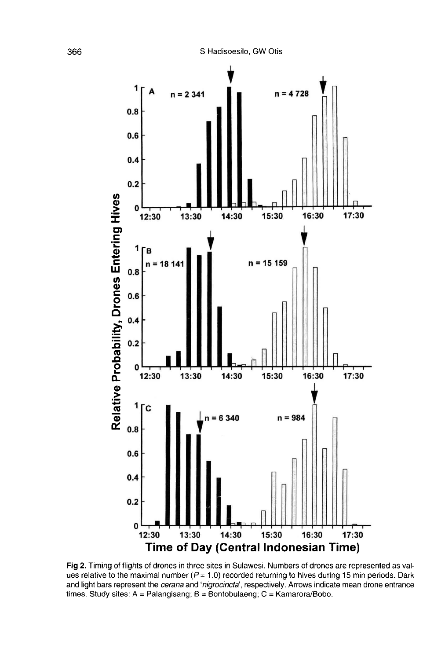

Fig 2. Timing of flights of drones in three sites in Sulawesi. Numbers of drones are represented as values relative to the maximal number ( $P = 1.0$ ) recorded returning to hives during 15 min periods. Dark and light bars represent the cerana and 'nigrocincta', respectively. Arrows indicate mean drone entrance times. Study sites:  $A =$  Palangisang;  $B =$  Bontobulaeng;  $C =$  Kamarora/Bobo.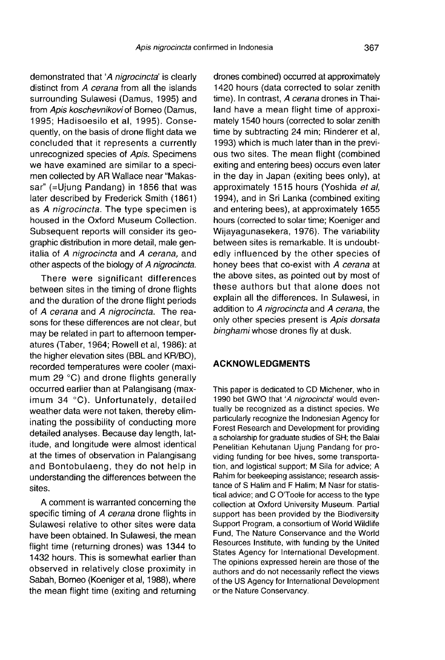demonstrated that 'A nigrocincta' is clearly distinct from A cerana from all the islands surrounding Sulawesi (Damus, 1995) and from Apis koschevnikovi of Borneo (Damus, 1995; Hadisoesilo et al, 1995). Consequently, on the basis of drone flight data we concluded that it represents a currently unrecognized species of Apis. Specimens we have examined are similar to a speci men collected by AR Wallace near "Makassar" (=Ujung Pandang) in 1856 that was later described by Frederick Smith (1861) as A nigrocincta. The type specimen is housed in the Oxford Museum Collection. Subsequent reports will consider its geographic distribution in more detail, male genitalia of A nigrocincta and A cerana, and other aspects of the biology of A nigrocincta.

There were significant differences between sites in the timing of drone flights and the duration of the drone flight periods of A cerana and A nigrocincta. The reasons for these differences are not clear, but may be related in part to afternoon temper atures (Taber, 1964; Rowell et al, 1986): at the higher elevation sites (BBL and KR/BO), recorded temperatures were cooler (maximum 29  $^{\circ}$ C) and drone flights generally occurred earlier than at Palangisang (maximum 34 °C). Unfortunately, detailed weather data were not taken, thereby eliminating the possibility of conducting more detailed analyses. Because day length, latitude, and longitude were almost identical at the times of observation in Palangisang and Bontobulaeng, they do not help in understanding the differences between the sites.

A comment is warranted concerning the specific timing of A cerana drone flights in Sulawesi relative to other sites were data have been obtained. In Sulawesi, the mean flight time (returning drones) was 1344 to 1432 hours. This is somewhat earlier than observed in relatively close proximity in Sabah, Borneo (Koeniger et al, 1988), where the mean flight time (exiting and returning

drones combined) occurred at approximately 1420 hours (data corrected to solar zenith time). In contrast, A cerana drones in Thailand have a mean flight time of approximately 1540 hours (corrected to solar zenith time by subtracting 24 min; Rinderer et al, 1993) which is much later than in the previ ous two sites. The mean flight (combined exiting and entering bees) occurs even later in the day in Japan (exiting bees only), at approximately 1515 hours (Yoshida et al, 1994), and in Sri Lanka (combined exiting and entering bees), at approximately 1655 hours (corrected to solar time; Koeniger and Wijayagunasekera, 1976). The variability between sites is remarkable. It is undoubtedly influenced by the other species of honey bees that co-exist with A cerana at the above sites, as pointed out by most of these authors but that alone does not explain all the differences. In Sulawesi, in addition to A nigrocincta and A cerana, the only other species present is Apis dorsata binghami whose drones fly at dusk.

#### ACKNOWLEDGMENTS

This paper is dedicated to CD Michener, who in 1990 bet GWO that 'A nigrocincta' would eventually be recognized as a distinct species. We particularly recognize the Indonesian Agency for Forest Research and Development for providing a scholarship for graduate studies of SH; the Balai Penelitian Kehutanan Ujung Pandang for providing funding for bee hives, some transportation, and logistical support; M Sila for advice; A Rahim for beekeeping assistance; research assistance of S Halim and F Halim; M Nasr for statistical advice; and C O'Toole for access to the type collection at Oxford University Museum. Partial support has been provided by the Biodiversity Support Program, a consortium of World Wildlife Fund, The Nature Conservance and the World Resources Institute, with funding by the United States Agency for International Development. The opinions expressed herein are those of the authors and do not necessarily reflect the views of the US Agency for International Development or the Nature Conservancy.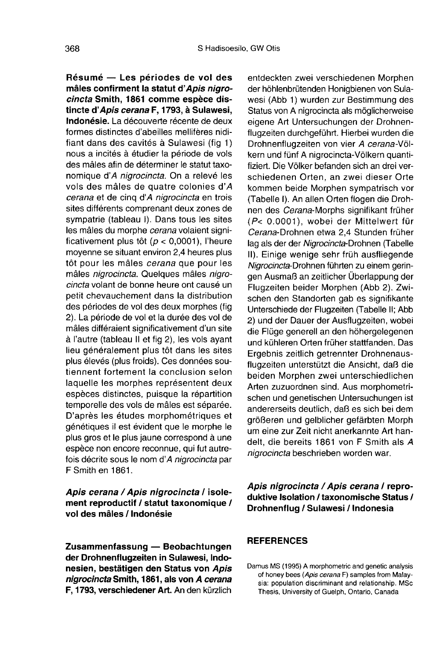Résumé — Les périodes de vol des mâles confirment la statut d'Apis nigrocincta Smith, 1861 comme espèce distincte d'Apis cerana F, 1793, à Sulawesi, Indonésie. La découverte récente de deux formes distinctes d'abeilles mellifères nidifiant dans des cavités à Sulawesi (fig 1) nous a incités à étudier la période de vols des mâles afin de déterminer le statut taxonomique d'A nigrocincta. On a relevé les vols des mâles de quatre colonies d'A cerana et de cinq d'A nigrocincta en trois sites différents comprenant deux zones de sympatrie (tableau I). Dans tous les sites les mâles du morphe cerana volaient significativement plus tôt ( $p < 0,0001$ ), l'heure moyenne se situant environ 2,4 heures plus tôt pour les mâles cerana que pour les mâles nigrocincta. Quelques mâles nigrocincta volant de bonne heure ont causé un petit chevauchement dans la distribution des périodes de vol des deux morphes (fig 2). La période de vol et la durée des vol de mâles différaient significativement d'un site à l'autre (tableau II et fig 2), les vols ayant lieu généralement plus tôt dans les sites plus élevés (plus froids). Ces données soutiennent fortement la conclusion selon laquelle les morphes représentent deux espèces distinctes, puisque la répartition temporelle des vols de mâles est séparée. D'après les études morphométriques et génétiques il est évident que le morphe le plus gros et le plus jaune correspond à une espèce non encore reconnue, qui fut autrefois décrite sous le nom d'A nigrocincta par F Smith en 1861.

Apis cerana / Apis nigrocincta / isolement reproductif / statut taxonomique / vol des mâles / Indonésie

Zusammenfassung — Beobachtungen der Drohnenflugzeiten in Sulawesi, Indonesien, bestätigen den Status von Apis nigrocincta Smith, 1861, als von A cerana F, 1793, verschiedener Art. An den kürzlich

entdeckten zwei verschiedenen Morphen der höhlenbrütenden Honigbienen von Sulawesi (Abb 1) wurden zur Bestimmung des Status von A nigrocincta als möglicherweise eigene Art Untersuchungen der Drohnenflugzeiten durchgeführt. Hierbei wurden die Drohnenflugzeiten von vier A cerana-Völkern und fünf A nigrocincta-Völkern quantifiziert. Die Völker befanden sich an drei verschiedenen Orten, an zwei dieser Orte kommen beide Morphen sympatrisch vor (Tabelle I). An allen Orten flogen die Drohnen des Cerana-Morphs signifikant früher (P< 0.0001), wobei der Mittelwert für Cerana-Drohnen etwa 2,4 Stunden früher lag als der der Nigrocincta-Drohnen (Tabelle II). Einige wenige sehr früh ausfliegende Nigrocincta-Drohnen führten zu einem geringen Ausmaß an zeitlicher Überlappung der Flugzeiten beider Morphen (Abb 2). Zwischen den Standorten gab es signifikante Unterschiede der Flugzeiten (Tabelle II; Abb 2) und der Dauer der Ausflugzeiten, wobei die Flüge generell an den höhergelegenen und kühleren Orten früher stattfanden. Das Ergebnis zeitlich getrennter Drohnenausflugzeiten unterstützt die Ansicht, daß die beiden Morphen zwei unterschiedlichen Arten zuzuordnen sind. Aus morphometrischen und genetischen Untersuchungen ist andererseits deutlich, daß es sich bei dem größeren und gelblicher gefärbten Morph um eine zur Zeit nicht anerkannte Art handelt, die bereits 1861 von F Smith als A nigrocincta beschrieben worden war.

Apis nigrocincta / Apis cerana / reproduktive Isolation / taxonomische Status / Drohnenflug / Sulawesi / Indonesia

#### **REFERENCES**

Damus MS (1995) A morphometric and genetic analysis of honey bees (Apis cerana F) samples from Malaysia: population discriminant and relationship. MSc Thesis, University of Guelph, Ontario, Canada